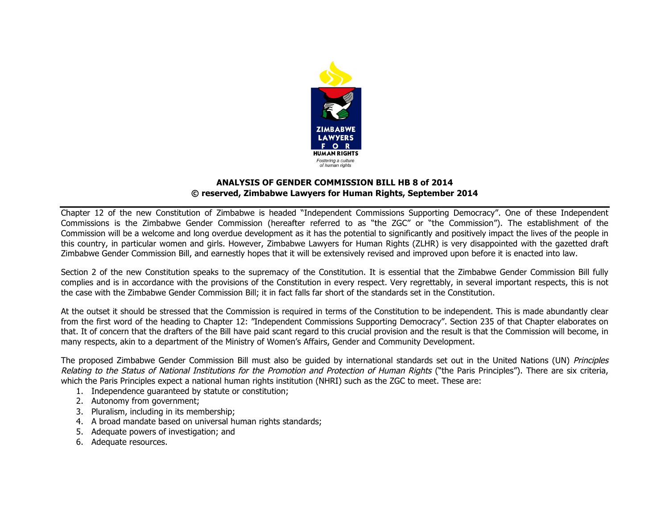

## **ANALYSIS OF GENDER COMMISSION BILL HB 8 of 2014 © reserved, Zimbabwe Lawyers for Human Rights, September 2014**

Chapter 12 of the new Constitution of Zimbabwe is headed "Independent Commissions Supporting Democracy". One of these Independent Commissions is the Zimbabwe Gender Commission (hereafter referred to as "the ZGC" or "the Commission"). The establishment of the Commission will be a welcome and long overdue development as it has the potential to significantly and positively impact the lives of the people in this country, in particular women and girls. However, Zimbabwe Lawyers for Human Rights (ZLHR) is very disappointed with the gazetted draft Zimbabwe Gender Commission Bill, and earnestly hopes that it will be extensively revised and improved upon before it is enacted into law.

Section 2 of the new Constitution speaks to the supremacy of the Constitution. It is essential that the Zimbabwe Gender Commission Bill fully complies and is in accordance with the provisions of the Constitution in every respect. Very regrettably, in several important respects, this is not the case with the Zimbabwe Gender Commission Bill; it in fact falls far short of the standards set in the Constitution.

At the outset it should be stressed that the Commission is required in terms of the Constitution to be independent. This is made abundantly clear from the first word of the heading to Chapter 12: "Independent Commissions Supporting Democracy". Section 235 of that Chapter elaborates on that. It of concern that the drafters of the Bill have paid scant regard to this crucial provision and the result is that the Commission will become, in many respects, akin to a department of the Ministry of Women's Affairs, Gender and Community Development.

The proposed Zimbabwe Gender Commission Bill must also be quided by international standards set out in the United Nations (UN) Principles Relating to the Status of National Institutions for the Promotion and Protection of Human Rights ("the Paris Principles"). There are six criteria, which the Paris Principles expect a national human rights institution (NHRI) such as the ZGC to meet. These are:

- 1. Independence guaranteed by statute or constitution;
- 2. Autonomy from government;
- 3. Pluralism, including in its membership;
- 4. A broad mandate based on universal human rights standards;
- 5. Adequate powers of investigation; and
- 6. Adequate resources.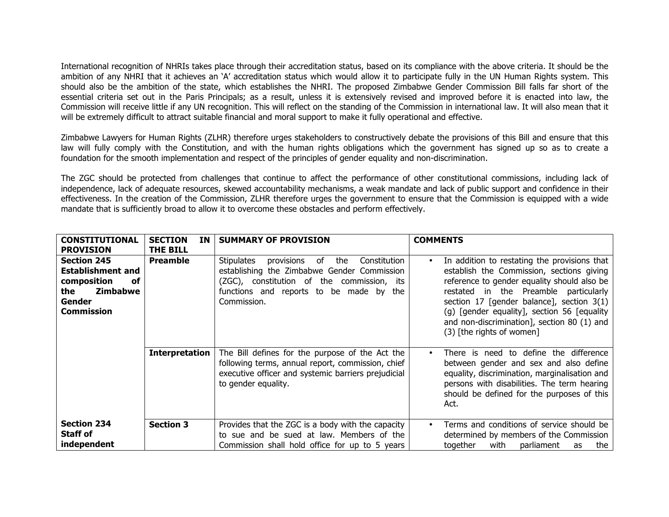International recognition of NHRIs takes place through their accreditation status, based on its compliance with the above criteria. It should be the ambition of any NHRI that it achieves an 'A' accreditation status which would allow it to participate fully in the UN Human Rights system. This should also be the ambition of the state, which establishes the NHRI. The proposed Zimbabwe Gender Commission Bill falls far short of the essential criteria set out in the Paris Principals; as a result, unless it is extensively revised and improved before it is enacted into law, the Commission will receive little if any UN recognition. This will reflect on the standing of the Commission in international law. It will also mean that it will be extremely difficult to attract suitable financial and moral support to make it fully operational and effective.

Zimbabwe Lawyers for Human Rights (ZLHR) therefore urges stakeholders to constructively debate the provisions of this Bill and ensure that this law will fully comply with the Constitution, and with the human rights obligations which the government has signed up so as to create a foundation for the smooth implementation and respect of the principles of gender equality and non-discrimination.

The ZGC should be protected from challenges that continue to affect the performance of other constitutional commissions, including lack of independence, lack of adequate resources, skewed accountability mechanisms, a weak mandate and lack of public support and confidence in their effectiveness. In the creation of the Commission, ZLHR therefore urges the government to ensure that the Commission is equipped with a wide mandate that is sufficiently broad to allow it to overcome these obstacles and perform effectively.

| <b>CONSTITUTIONAL</b>                                                                                                 | <b>SECTION</b><br>ΙN  | <b>SUMMARY OF PROVISION</b>                                                                                                                                                                            | <b>COMMENTS</b>                                                                                                                                                                                                                                                                                                                                                          |
|-----------------------------------------------------------------------------------------------------------------------|-----------------------|--------------------------------------------------------------------------------------------------------------------------------------------------------------------------------------------------------|--------------------------------------------------------------------------------------------------------------------------------------------------------------------------------------------------------------------------------------------------------------------------------------------------------------------------------------------------------------------------|
| <b>PROVISION</b>                                                                                                      | THE BILL              |                                                                                                                                                                                                        |                                                                                                                                                                                                                                                                                                                                                                          |
| <b>Section 245</b><br><b>Establishment and</b><br>composition<br>оf<br>Zimbabwe<br>the<br>Gender<br><b>Commission</b> | <b>Preamble</b>       | provisions of the<br>Stipulates<br>Constitution<br>establishing the Zimbabwe Gender Commission<br>(ZGC), constitution of the commission, its<br>functions and reports to be made by the<br>Commission. | In addition to restating the provisions that<br>$\bullet$<br>establish the Commission, sections giving<br>reference to gender equality should also be<br>restated in the Preamble particularly<br>section 17 [gender balance], section $3(1)$<br>(g) [gender equality], section 56 [equality<br>and non-discrimination], section 80 (1) and<br>(3) [the rights of women] |
|                                                                                                                       | <b>Interpretation</b> | The Bill defines for the purpose of the Act the<br>following terms, annual report, commission, chief<br>executive officer and systemic barriers prejudicial<br>to gender equality.                     | There is need to define the difference<br>$\bullet$<br>between gender and sex and also define<br>equality, discrimination, marginalisation and<br>persons with disabilities. The term hearing<br>should be defined for the purposes of this<br>Act.                                                                                                                      |
| <b>Section 234</b><br><b>Staff of</b><br>independent                                                                  | <b>Section 3</b>      | Provides that the ZGC is a body with the capacity<br>to sue and be sued at law. Members of the<br>Commission shall hold office for up to 5 years                                                       | Terms and conditions of service should be<br>$\bullet$<br>determined by members of the Commission<br>together<br>with<br>parliament<br>the<br>as                                                                                                                                                                                                                         |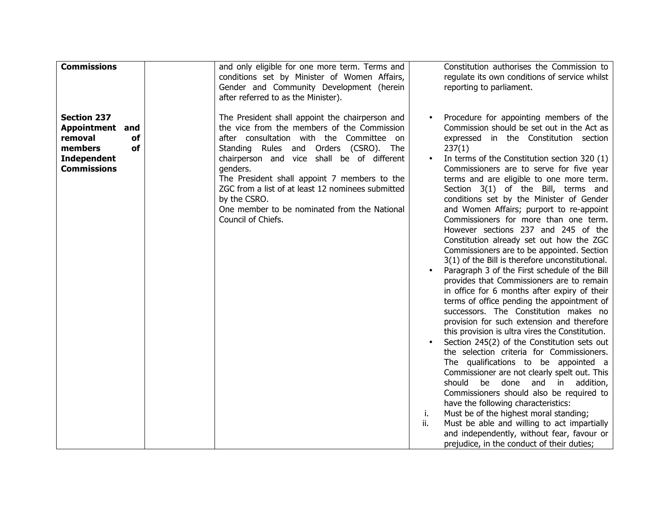| <b>Commissions</b>                                                                                           | and only eligible for one more term. Terms and                                                                                                                                                                                                                                                                                                                                                                                              |           | Constitution authorises the Commission to                                                                                                                                                                                                                                                                                                                                                                                                                                                                                                                                                                                                                                                                                                                                                                                                                                                                                                                                                                                                                                                                                                                                                                                                                                                                                                                                                                                                                                               |
|--------------------------------------------------------------------------------------------------------------|---------------------------------------------------------------------------------------------------------------------------------------------------------------------------------------------------------------------------------------------------------------------------------------------------------------------------------------------------------------------------------------------------------------------------------------------|-----------|-----------------------------------------------------------------------------------------------------------------------------------------------------------------------------------------------------------------------------------------------------------------------------------------------------------------------------------------------------------------------------------------------------------------------------------------------------------------------------------------------------------------------------------------------------------------------------------------------------------------------------------------------------------------------------------------------------------------------------------------------------------------------------------------------------------------------------------------------------------------------------------------------------------------------------------------------------------------------------------------------------------------------------------------------------------------------------------------------------------------------------------------------------------------------------------------------------------------------------------------------------------------------------------------------------------------------------------------------------------------------------------------------------------------------------------------------------------------------------------------|
|                                                                                                              | conditions set by Minister of Women Affairs,<br>Gender and Community Development (herein<br>after referred to as the Minister).                                                                                                                                                                                                                                                                                                             |           | regulate its own conditions of service whilst<br>reporting to parliament.                                                                                                                                                                                                                                                                                                                                                                                                                                                                                                                                                                                                                                                                                                                                                                                                                                                                                                                                                                                                                                                                                                                                                                                                                                                                                                                                                                                                               |
| <b>Section 237</b><br>Appointment and<br>removal<br>of<br>members<br>of<br>Independent<br><b>Commissions</b> | The President shall appoint the chairperson and<br>the vice from the members of the Commission<br>after consultation with the Committee<br>on<br>Standing Rules and Orders (CSRO). The<br>chairperson and vice shall be of different<br>genders.<br>The President shall appoint 7 members to the<br>ZGC from a list of at least 12 nominees submitted<br>by the CSRO.<br>One member to be nominated from the National<br>Council of Chiefs. | i.<br>ii. | Procedure for appointing members of the<br>Commission should be set out in the Act as<br>expressed in the Constitution section<br>237(1)<br>In terms of the Constitution section 320 (1)<br>Commissioners are to serve for five year<br>terms and are eligible to one more term.<br>Section 3(1) of the Bill, terms and<br>conditions set by the Minister of Gender<br>and Women Affairs; purport to re-appoint<br>Commissioners for more than one term.<br>However sections 237 and 245 of the<br>Constitution already set out how the ZGC<br>Commissioners are to be appointed. Section<br>3(1) of the Bill is therefore unconstitutional.<br>Paragraph 3 of the First schedule of the Bill<br>provides that Commissioners are to remain<br>in office for 6 months after expiry of their<br>terms of office pending the appointment of<br>successors. The Constitution makes no<br>provision for such extension and therefore<br>this provision is ultra vires the Constitution.<br>Section 245(2) of the Constitution sets out<br>the selection criteria for Commissioners.<br>The qualifications to be appointed a<br>Commissioner are not clearly spelt out. This<br>should<br>be<br>done and in addition,<br>Commissioners should also be required to<br>have the following characteristics:<br>Must be of the highest moral standing;<br>Must be able and willing to act impartially<br>and independently, without fear, favour or<br>prejudice, in the conduct of their duties; |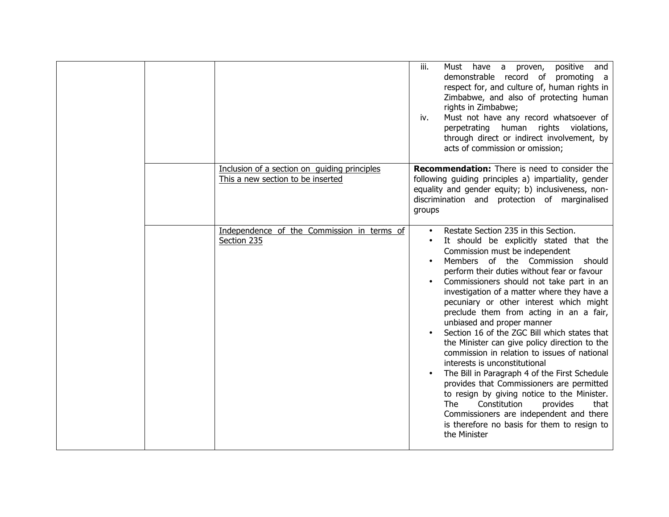|  |                                                                                   | iii.<br>Must have a proven, positive and<br>demonstrable record of promoting a<br>respect for, and culture of, human rights in<br>Zimbabwe, and also of protecting human<br>rights in Zimbabwe;<br>Must not have any record whatsoever of<br>iv.<br>perpetrating human rights violations,<br>through direct or indirect involvement, by<br>acts of commission or omission;                                                                                                                                                                                                                                                                                                                                                                                                                                                                                                                                                           |
|--|-----------------------------------------------------------------------------------|--------------------------------------------------------------------------------------------------------------------------------------------------------------------------------------------------------------------------------------------------------------------------------------------------------------------------------------------------------------------------------------------------------------------------------------------------------------------------------------------------------------------------------------------------------------------------------------------------------------------------------------------------------------------------------------------------------------------------------------------------------------------------------------------------------------------------------------------------------------------------------------------------------------------------------------|
|  | Inclusion of a section on guiding principles<br>This a new section to be inserted | <b>Recommendation:</b> There is need to consider the<br>following guiding principles a) impartiality, gender<br>equality and gender equity; b) inclusiveness, non-<br>discrimination and protection of marginalised<br>groups                                                                                                                                                                                                                                                                                                                                                                                                                                                                                                                                                                                                                                                                                                        |
|  | Independence of the Commission in terms of<br>Section 235                         | Restate Section 235 in this Section.<br>$\bullet$<br>It should be explicitly stated that the<br>Commission must be independent<br>Members of the Commission<br>should<br>perform their duties without fear or favour<br>Commissioners should not take part in an<br>investigation of a matter where they have a<br>pecuniary or other interest which might<br>preclude them from acting in an a fair,<br>unbiased and proper manner<br>Section 16 of the ZGC Bill which states that<br>the Minister can give policy direction to the<br>commission in relation to issues of national<br>interests is unconstitutional<br>The Bill in Paragraph 4 of the First Schedule<br>$\bullet$<br>provides that Commissioners are permitted<br>to resign by giving notice to the Minister.<br>The<br>Constitution<br>provides<br>that<br>Commissioners are independent and there<br>is therefore no basis for them to resign to<br>the Minister |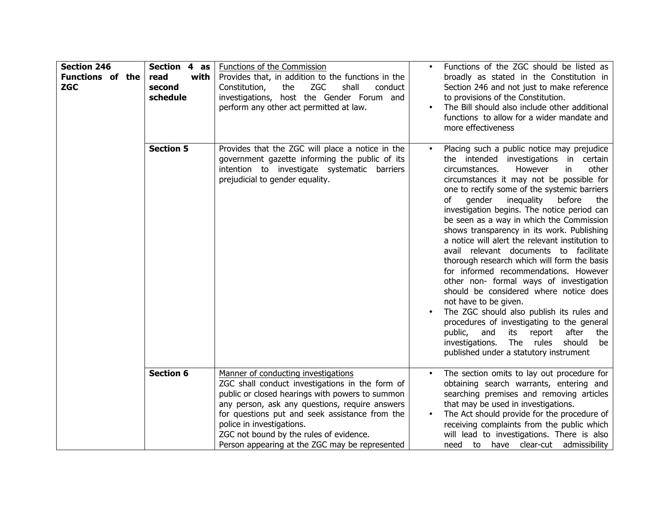| <b>Section 246</b><br><b>Functions of the</b><br><b>ZGC</b> | Section 4 as<br>read<br>with<br>second<br>schedule | Functions of the Commission<br>Provides that, in addition to the functions in the<br>Constitution,<br>the<br><b>ZGC</b><br>shall<br>conduct<br>investigations, host the Gender Forum and<br>perform any other act permitted at law.                                                                                                                                     | $\bullet$ | Functions of the ZGC should be listed as<br>broadly as stated in the Constitution in<br>Section 246 and not just to make reference<br>to provisions of the Constitution.<br>The Bill should also include other additional<br>functions to allow for a wider mandate and<br>more effectiveness                                                                                                                                                                                                                                                                                                                                                                                                                                                                                                                                                                                                                                                                    |
|-------------------------------------------------------------|----------------------------------------------------|-------------------------------------------------------------------------------------------------------------------------------------------------------------------------------------------------------------------------------------------------------------------------------------------------------------------------------------------------------------------------|-----------|------------------------------------------------------------------------------------------------------------------------------------------------------------------------------------------------------------------------------------------------------------------------------------------------------------------------------------------------------------------------------------------------------------------------------------------------------------------------------------------------------------------------------------------------------------------------------------------------------------------------------------------------------------------------------------------------------------------------------------------------------------------------------------------------------------------------------------------------------------------------------------------------------------------------------------------------------------------|
|                                                             | <b>Section 5</b>                                   | Provides that the ZGC will place a notice in the<br>government gazette informing the public of its<br>intention to investigate systematic barriers<br>prejudicial to gender equality.                                                                                                                                                                                   | $\bullet$ | Placing such a public notice may prejudice<br>the intended investigations in certain<br>circumstances.<br>However<br>other<br>in.<br>circumstances it may not be possible for<br>one to rectify some of the systemic barriers<br>of<br>gender<br>inequality<br>before<br>the<br>investigation begins. The notice period can<br>be seen as a way in which the Commission<br>shows transparency in its work. Publishing<br>a notice will alert the relevant institution to<br>avail relevant documents to facilitate<br>thorough research which will form the basis<br>for informed recommendations. However<br>other non- formal ways of investigation<br>should be considered where notice does<br>not have to be given.<br>The ZGC should also publish its rules and<br>procedures of investigating to the general<br>public,<br>after<br>and<br>its<br>report<br>the<br>The rules<br>should<br>investigations.<br>be<br>published under a statutory instrument |
|                                                             | <b>Section 6</b>                                   | Manner of conducting investigations<br>ZGC shall conduct investigations in the form of<br>public or closed hearings with powers to summon<br>any person, ask any questions, require answers<br>for questions put and seek assistance from the<br>police in investigations.<br>ZGC not bound by the rules of evidence.<br>Person appearing at the ZGC may be represented |           | The section omits to lay out procedure for<br>obtaining search warrants, entering and<br>searching premises and removing articles<br>that may be used in investigations.<br>The Act should provide for the procedure of<br>receiving complaints from the public which<br>will lead to investigations. There is also<br>need to have clear-cut admissibility                                                                                                                                                                                                                                                                                                                                                                                                                                                                                                                                                                                                      |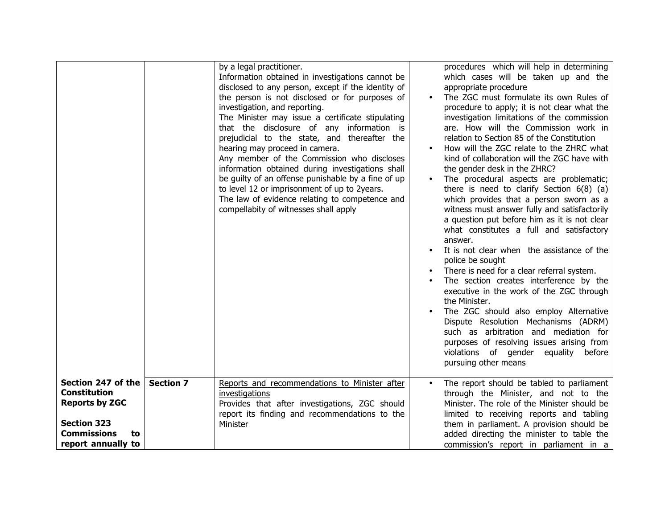|                                                                                                                                            |                  | by a legal practitioner.<br>Information obtained in investigations cannot be<br>disclosed to any person, except if the identity of<br>the person is not disclosed or for purposes of<br>investigation, and reporting.<br>The Minister may issue a certificate stipulating<br>that the disclosure of any information is<br>prejudicial to the state, and thereafter the<br>hearing may proceed in camera.<br>Any member of the Commission who discloses<br>information obtained during investigations shall<br>be guilty of an offense punishable by a fine of up<br>to level 12 or imprisonment of up to 2years.<br>The law of evidence relating to competence and<br>compellabity of witnesses shall apply | $\bullet$ | procedures which will help in determining<br>which cases will be taken up and the<br>appropriate procedure<br>The ZGC must formulate its own Rules of<br>procedure to apply; it is not clear what the<br>investigation limitations of the commission<br>are. How will the Commission work in<br>relation to Section 85 of the Constitution<br>How will the ZGC relate to the ZHRC what<br>kind of collaboration will the ZGC have with<br>the gender desk in the ZHRC?<br>The procedural aspects are problematic;<br>there is need to clarify Section $6(8)$ (a)<br>which provides that a person sworn as a<br>witness must answer fully and satisfactorily<br>a question put before him as it is not clear<br>what constitutes a full and satisfactory<br>answer.<br>It is not clear when the assistance of the<br>police be sought<br>There is need for a clear referral system.<br>The section creates interference by the<br>executive in the work of the ZGC through<br>the Minister.<br>The ZGC should also employ Alternative<br>Dispute Resolution Mechanisms (ADRM)<br>such as arbitration and mediation for<br>purposes of resolving issues arising from<br>violations of gender equality before<br>pursuing other means |
|--------------------------------------------------------------------------------------------------------------------------------------------|------------------|-------------------------------------------------------------------------------------------------------------------------------------------------------------------------------------------------------------------------------------------------------------------------------------------------------------------------------------------------------------------------------------------------------------------------------------------------------------------------------------------------------------------------------------------------------------------------------------------------------------------------------------------------------------------------------------------------------------|-----------|------------------------------------------------------------------------------------------------------------------------------------------------------------------------------------------------------------------------------------------------------------------------------------------------------------------------------------------------------------------------------------------------------------------------------------------------------------------------------------------------------------------------------------------------------------------------------------------------------------------------------------------------------------------------------------------------------------------------------------------------------------------------------------------------------------------------------------------------------------------------------------------------------------------------------------------------------------------------------------------------------------------------------------------------------------------------------------------------------------------------------------------------------------------------------------------------------------------------------------|
| Section 247 of the<br><b>Constitution</b><br><b>Reports by ZGC</b><br><b>Section 323</b><br><b>Commissions</b><br>to<br>report annually to | <b>Section 7</b> | Reports and recommendations to Minister after<br>investigations<br>Provides that after investigations, ZGC should<br>report its finding and recommendations to the<br>Minister                                                                                                                                                                                                                                                                                                                                                                                                                                                                                                                              |           | The report should be tabled to parliament<br>through the Minister, and not to the<br>Minister. The role of the Minister should be<br>limited to receiving reports and tabling<br>them in parliament. A provision should be<br>added directing the minister to table the<br>commission's report in parliament in a                                                                                                                                                                                                                                                                                                                                                                                                                                                                                                                                                                                                                                                                                                                                                                                                                                                                                                                  |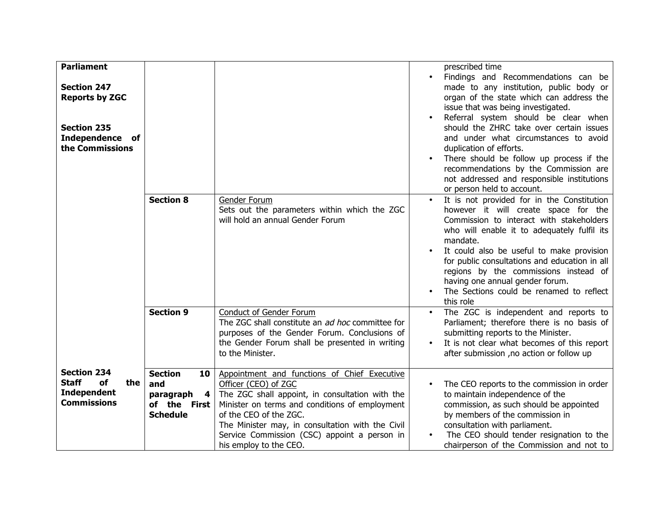| <b>Parliament</b><br><b>Section 247</b><br><b>Reports by ZGC</b>                            |                                                                                  |                                                                                                                                                                                                                                                                                                                                   | $\bullet$              | prescribed time<br>Findings and Recommendations can be<br>made to any institution, public body or<br>organ of the state which can address the<br>issue that was being investigated.<br>Referral system should be clear when                                                                                                                                                                                                  |
|---------------------------------------------------------------------------------------------|----------------------------------------------------------------------------------|-----------------------------------------------------------------------------------------------------------------------------------------------------------------------------------------------------------------------------------------------------------------------------------------------------------------------------------|------------------------|------------------------------------------------------------------------------------------------------------------------------------------------------------------------------------------------------------------------------------------------------------------------------------------------------------------------------------------------------------------------------------------------------------------------------|
| <b>Section 235</b><br><b>Independence</b><br>of<br>the Commissions                          |                                                                                  |                                                                                                                                                                                                                                                                                                                                   |                        | should the ZHRC take over certain issues<br>and under what circumstances to avoid<br>duplication of efforts.<br>There should be follow up process if the<br>recommendations by the Commission are<br>not addressed and responsible institutions<br>or person held to account.                                                                                                                                                |
|                                                                                             | <b>Section 8</b>                                                                 | Gender Forum<br>Sets out the parameters within which the ZGC<br>will hold an annual Gender Forum                                                                                                                                                                                                                                  | $\bullet$              | It is not provided for in the Constitution<br>however it will create space for the<br>Commission to interact with stakeholders<br>who will enable it to adequately fulfil its<br>mandate.<br>It could also be useful to make provision<br>for public consultations and education in all<br>regions by the commissions instead of<br>having one annual gender forum.<br>The Sections could be renamed to reflect<br>this role |
|                                                                                             | <b>Section 9</b>                                                                 | Conduct of Gender Forum<br>The ZGC shall constitute an ad hoc committee for<br>purposes of the Gender Forum. Conclusions of<br>the Gender Forum shall be presented in writing<br>to the Minister.                                                                                                                                 | $\bullet$<br>$\bullet$ | The ZGC is independent and reports to<br>Parliament; therefore there is no basis of<br>submitting reports to the Minister.<br>It is not clear what becomes of this report<br>after submission , no action or follow up                                                                                                                                                                                                       |
| <b>Section 234</b><br><b>Staff</b><br>of<br>the<br><b>Independent</b><br><b>Commissions</b> | <b>Section</b><br>10<br>and<br>paragraph<br>4<br>of the First<br><b>Schedule</b> | Appointment and functions of Chief Executive<br>Officer (CEO) of ZGC<br>The ZGC shall appoint, in consultation with the<br>Minister on terms and conditions of employment<br>of the CEO of the ZGC.<br>The Minister may, in consultation with the Civil<br>Service Commission (CSC) appoint a person in<br>his employ to the CEO. | $\bullet$              | The CEO reports to the commission in order<br>to maintain independence of the<br>commission, as such should be appointed<br>by members of the commission in<br>consultation with parliament.<br>The CEO should tender resignation to the<br>chairperson of the Commission and not to                                                                                                                                         |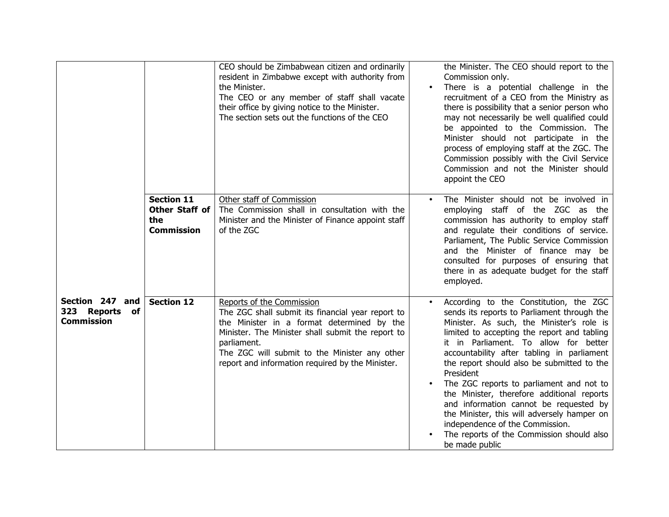|                                                        |                                                                        | CEO should be Zimbabwean citizen and ordinarily<br>resident in Zimbabwe except with authority from<br>the Minister.<br>The CEO or any member of staff shall vacate<br>their office by giving notice to the Minister.<br>The section sets out the functions of the CEO                                 | $\bullet$ | the Minister. The CEO should report to the<br>Commission only.<br>There is a potential challenge in the<br>recruitment of a CEO from the Ministry as<br>there is possibility that a senior person who<br>may not necessarily be well qualified could<br>be appointed to the Commission. The<br>Minister should not participate in the<br>process of employing staff at the ZGC. The<br>Commission possibly with the Civil Service<br>Commission and not the Minister should<br>appoint the CEO                                                                                                                           |
|--------------------------------------------------------|------------------------------------------------------------------------|-------------------------------------------------------------------------------------------------------------------------------------------------------------------------------------------------------------------------------------------------------------------------------------------------------|-----------|--------------------------------------------------------------------------------------------------------------------------------------------------------------------------------------------------------------------------------------------------------------------------------------------------------------------------------------------------------------------------------------------------------------------------------------------------------------------------------------------------------------------------------------------------------------------------------------------------------------------------|
|                                                        | <b>Section 11</b><br><b>Other Staff of</b><br>the<br><b>Commission</b> | Other staff of Commission<br>The Commission shall in consultation with the<br>Minister and the Minister of Finance appoint staff<br>of the ZGC                                                                                                                                                        | $\bullet$ | The Minister should not be involved in<br>employing staff of the ZGC as the<br>commission has authority to employ staff<br>and regulate their conditions of service.<br>Parliament, The Public Service Commission<br>and the Minister of finance may be<br>consulted for purposes of ensuring that<br>there in as adequate budget for the staff<br>employed.                                                                                                                                                                                                                                                             |
| Section 247 and<br>323 Reports of<br><b>Commission</b> | <b>Section 12</b>                                                      | Reports of the Commission<br>The ZGC shall submit its financial year report to<br>the Minister in a format determined by the<br>Minister. The Minister shall submit the report to<br>parliament.<br>The ZGC will submit to the Minister any other<br>report and information required by the Minister. | $\bullet$ | According to the Constitution, the ZGC<br>sends its reports to Parliament through the<br>Minister. As such, the Minister's role is<br>limited to accepting the report and tabling<br>it in Parliament. To allow for better<br>accountability after tabling in parliament<br>the report should also be submitted to the<br>President<br>The ZGC reports to parliament and not to<br>the Minister, therefore additional reports<br>and information cannot be requested by<br>the Minister, this will adversely hamper on<br>independence of the Commission.<br>The reports of the Commission should also<br>be made public |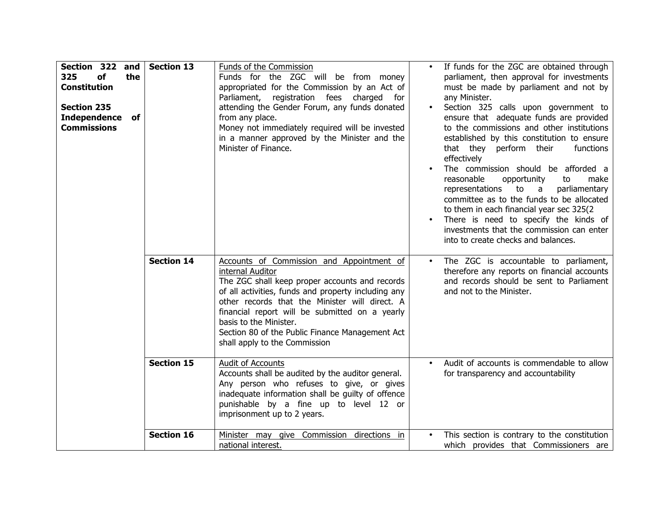| Section 322 and<br>325<br>of<br>the<br><b>Constitution</b><br><b>Section 235</b><br><b>Independence</b><br>of<br><b>Commissions</b> | <b>Section 13</b>               | Funds of the Commission<br>Funds for the ZGC will be from money<br>appropriated for the Commission by an Act of<br>Parliament, registration fees<br>charged<br>for<br>attending the Gender Forum, any funds donated<br>from any place.<br>Money not immediately required will be invested<br>in a manner approved by the Minister and the<br>Minister of Finance.                                                                                                                                              | $\bullet$<br>$\bullet$ | If funds for the ZGC are obtained through<br>parliament, then approval for investments<br>must be made by parliament and not by<br>any Minister.<br>Section 325 calls upon government to<br>ensure that adequate funds are provided<br>to the commissions and other institutions<br>established by this constitution to ensure<br>that they perform their<br>functions<br>effectively<br>The commission should be afforded a<br>reasonable<br>opportunity<br>to<br>make<br>representations<br>to<br>parliamentary<br>a a<br>committee as to the funds to be allocated<br>to them in each financial year sec 325(2)<br>There is need to specify the kinds of<br>investments that the commission can enter<br>into to create checks and balances. |
|-------------------------------------------------------------------------------------------------------------------------------------|---------------------------------|----------------------------------------------------------------------------------------------------------------------------------------------------------------------------------------------------------------------------------------------------------------------------------------------------------------------------------------------------------------------------------------------------------------------------------------------------------------------------------------------------------------|------------------------|-------------------------------------------------------------------------------------------------------------------------------------------------------------------------------------------------------------------------------------------------------------------------------------------------------------------------------------------------------------------------------------------------------------------------------------------------------------------------------------------------------------------------------------------------------------------------------------------------------------------------------------------------------------------------------------------------------------------------------------------------|
|                                                                                                                                     | <b>Section 14</b><br>Section 15 | Accounts of Commission and Appointment of<br>internal Auditor<br>The ZGC shall keep proper accounts and records<br>of all activities, funds and property including any<br>other records that the Minister will direct. A<br>financial report will be submitted on a yearly<br>basis to the Minister.<br>Section 80 of the Public Finance Management Act<br>shall apply to the Commission<br>Audit of Accounts<br>Accounts shall be audited by the auditor general.<br>Any person who refuses to give, or gives | $\bullet$<br>$\bullet$ | The ZGC is accountable to parliament,<br>therefore any reports on financial accounts<br>and records should be sent to Parliament<br>and not to the Minister.<br>Audit of accounts is commendable to allow<br>for transparency and accountability                                                                                                                                                                                                                                                                                                                                                                                                                                                                                                |
|                                                                                                                                     | <b>Section 16</b>               | inadequate information shall be guilty of offence<br>punishable by a fine up to level 12 or<br>imprisonment up to 2 years.<br>Minister may give Commission directions in<br>national interest.                                                                                                                                                                                                                                                                                                                 | $\bullet$              | This section is contrary to the constitution<br>which provides that Commissioners are                                                                                                                                                                                                                                                                                                                                                                                                                                                                                                                                                                                                                                                           |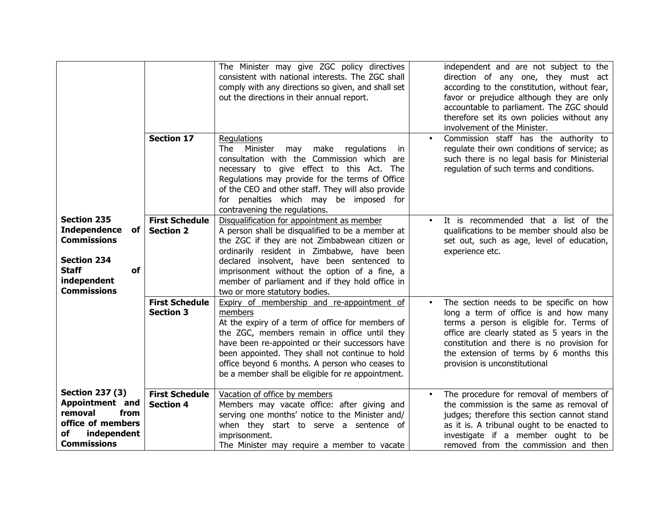|                                                                                                                                                        |                                           | The Minister may give ZGC policy directives<br>consistent with national interests. The ZGC shall<br>comply with any directions so given, and shall set<br>out the directions in their annual report.                                                                                                                                                                            |           | independent and are not subject to the<br>direction of any one, they must act<br>according to the constitution, without fear,<br>favor or prejudice although they are only<br>accountable to parliament. The ZGC should<br>therefore set its own policies without any<br>involvement of the Minister. |
|--------------------------------------------------------------------------------------------------------------------------------------------------------|-------------------------------------------|---------------------------------------------------------------------------------------------------------------------------------------------------------------------------------------------------------------------------------------------------------------------------------------------------------------------------------------------------------------------------------|-----------|-------------------------------------------------------------------------------------------------------------------------------------------------------------------------------------------------------------------------------------------------------------------------------------------------------|
|                                                                                                                                                        | <b>Section 17</b>                         | Regulations<br><b>The</b><br>Minister<br>make<br>may<br>regulations<br>-in<br>consultation with the Commission which are<br>necessary to give effect to this Act. The<br>Regulations may provide for the terms of Office<br>of the CEO and other staff. They will also provide<br>for penalties which may be imposed for<br>contravening the regulations.                       |           | Commission staff has the authority to<br>regulate their own conditions of service; as<br>such there is no legal basis for Ministerial<br>regulation of such terms and conditions.                                                                                                                     |
| <b>Section 235</b><br><b>Independence</b><br>of<br><b>Commissions</b><br><b>Section 234</b><br><b>Staff</b><br>of<br>independent<br><b>Commissions</b> | <b>First Schedule</b><br><b>Section 2</b> | Disqualification for appointment as member<br>A person shall be disqualified to be a member at<br>the ZGC if they are not Zimbabwean citizen or<br>ordinarily resident in Zimbabwe, have been<br>declared insolvent, have been sentenced to<br>imprisonment without the option of a fine, a<br>member of parliament and if they hold office in<br>two or more statutory bodies. |           | It is recommended that a list of the<br>qualifications to be member should also be<br>set out, such as age, level of education,<br>experience etc.                                                                                                                                                    |
|                                                                                                                                                        | <b>First Schedule</b><br><b>Section 3</b> | Expiry of membership and re-appointment of<br>members<br>At the expiry of a term of office for members of<br>the ZGC, members remain in office until they<br>have been re-appointed or their successors have<br>been appointed. They shall not continue to hold<br>office beyond 6 months. A person who ceases to<br>be a member shall be eligible for re appointment.          | $\bullet$ | The section needs to be specific on how<br>long a term of office is and how many<br>terms a person is eligible for. Terms of<br>office are clearly stated as 5 years in the<br>constitution and there is no provision for<br>the extension of terms by 6 months this<br>provision is unconstitutional |
| <b>Section 237 (3)</b><br>Appointment and<br>from<br>removal<br>office of members<br>independent<br>of<br><b>Commissions</b>                           | <b>First Schedule</b><br><b>Section 4</b> | Vacation of office by members<br>Members may vacate office: after giving and<br>serving one months' notice to the Minister and/<br>when they start to serve a sentence of<br>imprisonment.<br>The Minister may require a member to vacate                                                                                                                                       |           | The procedure for removal of members of<br>the commission is the same as removal of<br>judges; therefore this section cannot stand<br>as it is. A tribunal ought to be enacted to<br>investigate if a member ought to be<br>removed from the commission and then                                      |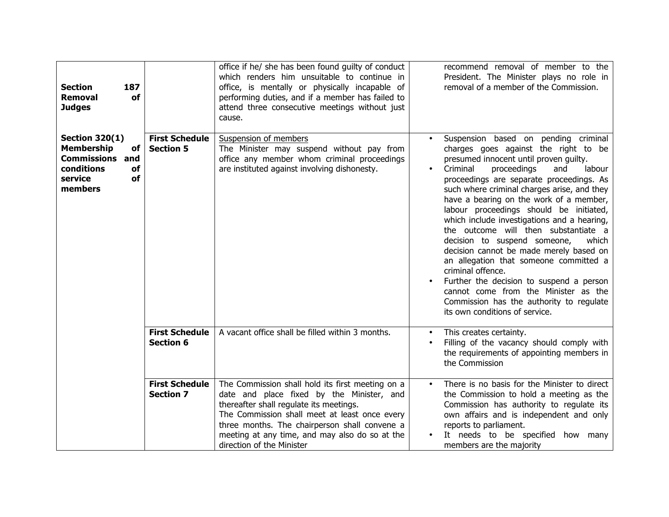| <b>Section</b><br>187<br>Removal<br><b>of</b><br><b>Judges</b>                                                             |                                           | office if he/ she has been found guilty of conduct<br>which renders him unsuitable to continue in<br>office, is mentally or physically incapable of<br>performing duties, and if a member has failed to<br>attend three consecutive meetings without just<br>cause.                                                       |                        | recommend removal of member to the<br>President. The Minister plays no role in<br>removal of a member of the Commission.                                                                                                                                                                                                                                                                                                                                                                                                                                                                                                                                                                                                                                        |
|----------------------------------------------------------------------------------------------------------------------------|-------------------------------------------|---------------------------------------------------------------------------------------------------------------------------------------------------------------------------------------------------------------------------------------------------------------------------------------------------------------------------|------------------------|-----------------------------------------------------------------------------------------------------------------------------------------------------------------------------------------------------------------------------------------------------------------------------------------------------------------------------------------------------------------------------------------------------------------------------------------------------------------------------------------------------------------------------------------------------------------------------------------------------------------------------------------------------------------------------------------------------------------------------------------------------------------|
| <b>Section 320(1)</b><br><b>Membership</b><br>of<br><b>Commissions and</b><br>conditions<br>of<br>of<br>service<br>members | <b>First Schedule</b><br><b>Section 5</b> | Suspension of members<br>The Minister may suspend without pay from<br>office any member whom criminal proceedings<br>are instituted against involving dishonesty.                                                                                                                                                         | $\bullet$<br>$\bullet$ | Suspension based on pending criminal<br>charges goes against the right to be<br>presumed innocent until proven guilty.<br>Criminal<br>proceedings<br>labour<br>and<br>proceedings are separate proceedings. As<br>such where criminal charges arise, and they<br>have a bearing on the work of a member,<br>labour proceedings should be initiated,<br>which include investigations and a hearing,<br>the outcome will then substantiate a<br>decision to suspend someone,<br>which<br>decision cannot be made merely based on<br>an allegation that someone committed a<br>criminal offence.<br>Further the decision to suspend a person<br>cannot come from the Minister as the<br>Commission has the authority to regulate<br>its own conditions of service. |
|                                                                                                                            | <b>First Schedule</b><br><b>Section 6</b> | A vacant office shall be filled within 3 months.                                                                                                                                                                                                                                                                          | $\bullet$              | This creates certainty.<br>Filling of the vacancy should comply with<br>the requirements of appointing members in<br>the Commission                                                                                                                                                                                                                                                                                                                                                                                                                                                                                                                                                                                                                             |
|                                                                                                                            | <b>First Schedule</b><br><b>Section 7</b> | The Commission shall hold its first meeting on a<br>date and place fixed by the Minister, and<br>thereafter shall regulate its meetings.<br>The Commission shall meet at least once every<br>three months. The chairperson shall convene a<br>meeting at any time, and may also do so at the<br>direction of the Minister | $\bullet$              | There is no basis for the Minister to direct<br>the Commission to hold a meeting as the<br>Commission has authority to regulate its<br>own affairs and is independent and only<br>reports to parliament.<br>It needs to be specified how many<br>members are the majority                                                                                                                                                                                                                                                                                                                                                                                                                                                                                       |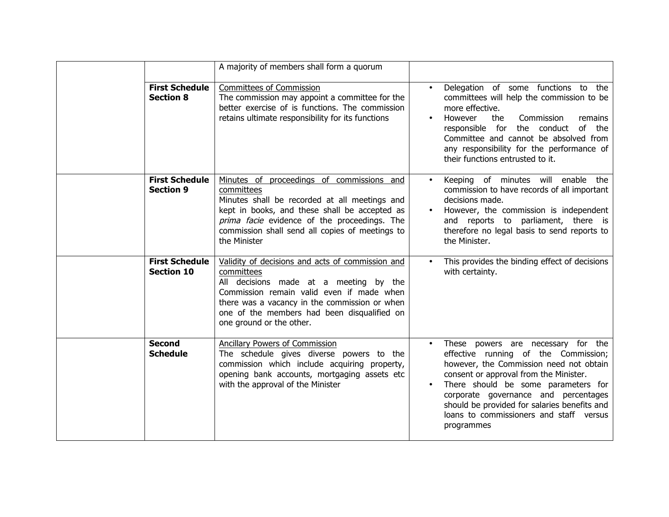|                                            | A majority of members shall form a quorum                                                                                                                                                                                                                                         |                        |                                                                                                                                                                                                                                                                                                                                                         |
|--------------------------------------------|-----------------------------------------------------------------------------------------------------------------------------------------------------------------------------------------------------------------------------------------------------------------------------------|------------------------|---------------------------------------------------------------------------------------------------------------------------------------------------------------------------------------------------------------------------------------------------------------------------------------------------------------------------------------------------------|
| <b>First Schedule</b><br><b>Section 8</b>  | Committees of Commission<br>The commission may appoint a committee for the<br>better exercise of is functions. The commission<br>retains ultimate responsibility for its functions                                                                                                | $\bullet$<br>$\bullet$ | Delegation of some functions to the<br>committees will help the commission to be<br>more effective.<br>However<br>the<br>Commission<br>remains<br>responsible for the conduct of the<br>Committee and cannot be absolved from<br>any responsibility for the performance of<br>their functions entrusted to it.                                          |
| <b>First Schedule</b><br><b>Section 9</b>  | Minutes of proceedings of commissions and<br>committees<br>Minutes shall be recorded at all meetings and<br>kept in books, and these shall be accepted as<br>prima facie evidence of the proceedings. The<br>commission shall send all copies of meetings to<br>the Minister      | $\bullet$              | Keeping of minutes will enable the<br>commission to have records of all important<br>decisions made.<br>However, the commission is independent<br>and reports to parliament, there is<br>therefore no legal basis to send reports to<br>the Minister.                                                                                                   |
| <b>First Schedule</b><br><b>Section 10</b> | Validity of decisions and acts of commission and<br>committees<br>All decisions made at a meeting by the<br>Commission remain valid even if made when<br>there was a vacancy in the commission or when<br>one of the members had been disqualified on<br>one ground or the other. |                        | This provides the binding effect of decisions<br>with certainty.                                                                                                                                                                                                                                                                                        |
| <b>Second</b><br><b>Schedule</b>           | Ancillary Powers of Commission<br>The schedule gives diverse powers to the<br>commission which include acquiring property,<br>opening bank accounts, mortgaging assets etc<br>with the approval of the Minister                                                                   | $\bullet$              | These powers are necessary for the<br>effective running of the Commission;<br>however, the Commission need not obtain<br>consent or approval from the Minister.<br>There should be some parameters for<br>corporate governance and percentages<br>should be provided for salaries benefits and<br>loans to commissioners and staff versus<br>programmes |